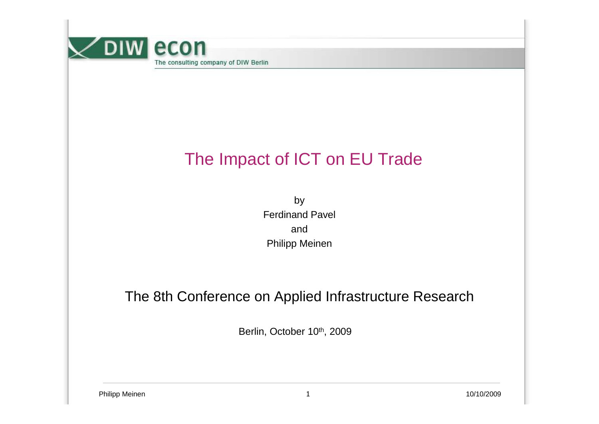

# The Impact of ICT on EU Trade

by Ferdinand PavelandPhilipp Meinen

#### The 8th Conference on Applied Infrastructure Research

Berlin, October 10th, 2009

Philipp Meinen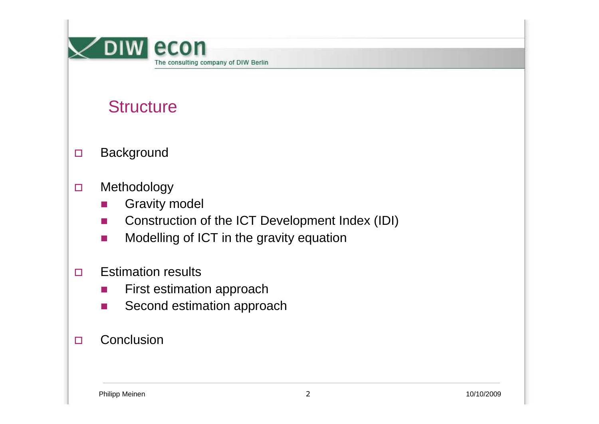

## **Structure**

- $\Box$ **Background**
- $\Box$  Methodology
	- -Gravity model
	- -Construction of the ICT Development Index (IDI)
	- -Modelling of ICT in the gravity equation
- $\Box$  Estimation results
	- -First estimation approach
	- -Second estimation approach

#### $\Box$ **Conclusion**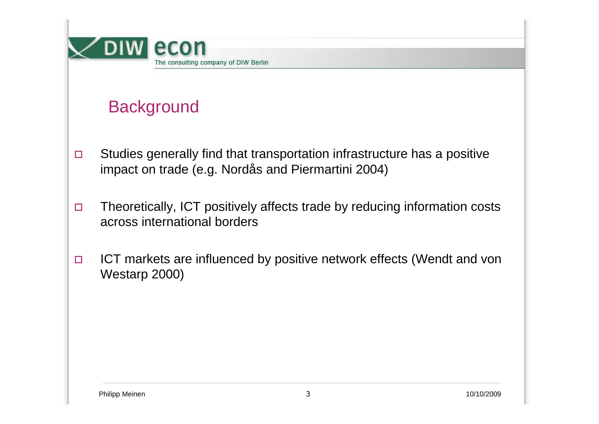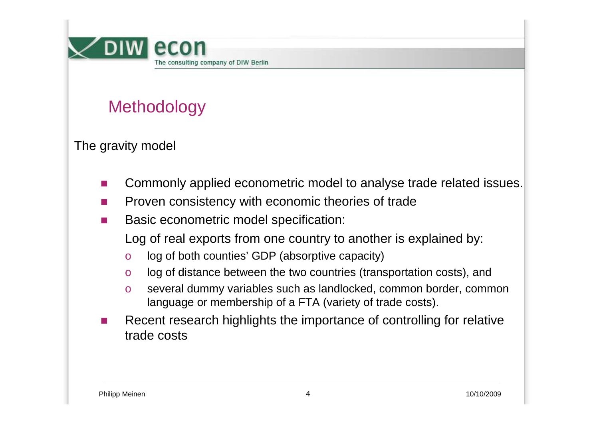

# **Methodology**

The gravity model

- -Commonly applied econometric model to analyse trade related issues.
- -Proven consistency with economic theories of trade
- - Basic econometric model specification:
	- Log of real exports from one country to another is explained by:
	- olog of both counties' GDP (absorptive capacity)
	- olog of distance between the two countries (transportation costs), and
	- o several dummy variables such as landlocked, common border, common language or membership of a FTA (variety of trade costs).
- - Recent research highlights the importance of controlling for relative trade costs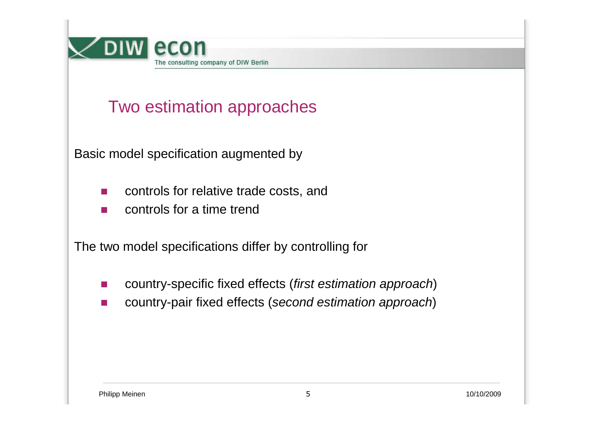

# Two estimation approaches

Basic model specification augmented by

- controls for relative trade costs, and
- controls for a time trend

The two model specifications differ by controlling for

- country-specific fixed effects (first estimation approach)
- country-pair fixed effects (second estimation approach)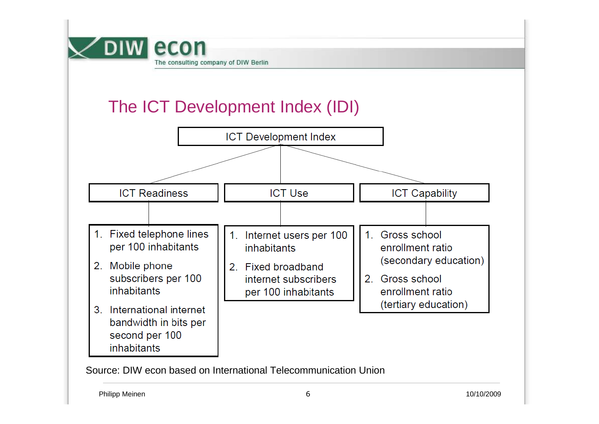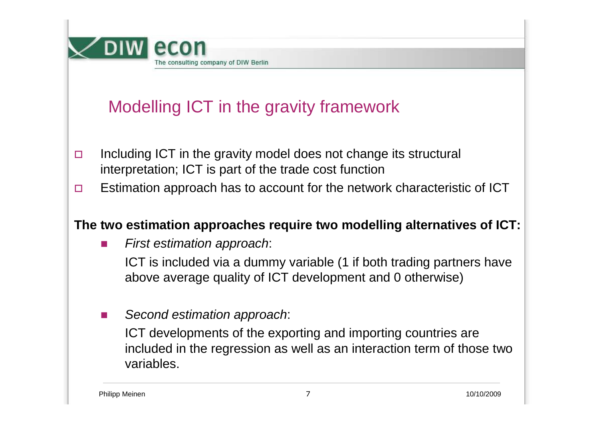

# Modelling ICT in the gravity framework

- $\Box$  Including ICT in the gravity model does not change its structural interpretation; ICT is part of the trade cost function
- $\Box$ Estimation approach has to account for the network characteristic of ICT

### **The two estimation approaches require two modelling alternatives of ICT:**

-First estimation approach:

> ICT is included via a dummy variable (1 if both trading partners have above average quality of ICT development and 0 otherwise)

-Second estimation approach:

> ICT developments of the exporting and importing countries are included in the regression as well as an interaction term of those two variables.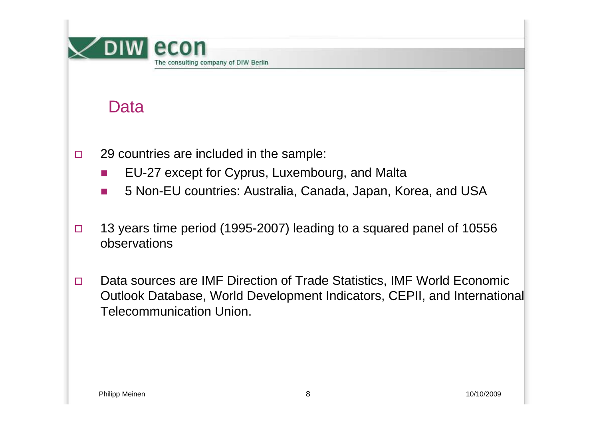

# Data

- $\Box$  29 countries are included in the sample:
	- -EU-27 except for Cyprus, Luxembourg, and Malta
	- -5 Non-EU countries: Australia, Canada, Japan, Korea, and USA
- $\Box$  13 years time period (1995-2007) leading to a squared panel of 10556 observations
- $\Box$  Data sources are IMF Direction of Trade Statistics, IMF World Economic Outlook Database, World Development Indicators, CEPII, and International Telecommunication Union.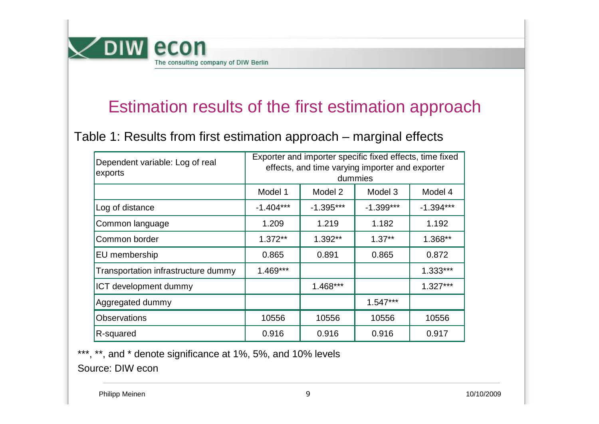

### Estimation results of the first estimation approach

Table 1: Results from first estimation approach – marginal effects

| Dependent variable: Log of real<br>exports | Exporter and importer specific fixed effects, time fixed<br>effects, and time varying importer and exporter<br>dummies |             |             |             |
|--------------------------------------------|------------------------------------------------------------------------------------------------------------------------|-------------|-------------|-------------|
|                                            | Model 1                                                                                                                | Model 2     | Model 3     | Model 4     |
| Log of distance                            | $-1.404***$                                                                                                            | $-1.395***$ | $-1.399***$ | $-1.394***$ |
| Common language                            | 1.209                                                                                                                  | 1.219       | 1.182       | 1.192       |
| Common border                              | $1.372**$                                                                                                              | $1.392**$   | $1.37**$    | 1.368**     |
| EU membership                              | 0.865                                                                                                                  | 0.891       | 0.865       | 0.872       |
| Transportation infrastructure dummy        | $1.469***$                                                                                                             |             |             | $1.333***$  |
| <b>ICT development dummy</b>               |                                                                                                                        | $1.468***$  |             | $1.327***$  |
| Aggregated dummy                           |                                                                                                                        |             | $1.547***$  |             |
| <b>Observations</b>                        | 10556                                                                                                                  | 10556       | 10556       | 10556       |
| R-squared                                  | 0.916                                                                                                                  | 0.916       | 0.916       | 0.917       |

\*\*\*, \*\*, and \* denote significance at 1%, 5%, and 10% levels Source: DIW econ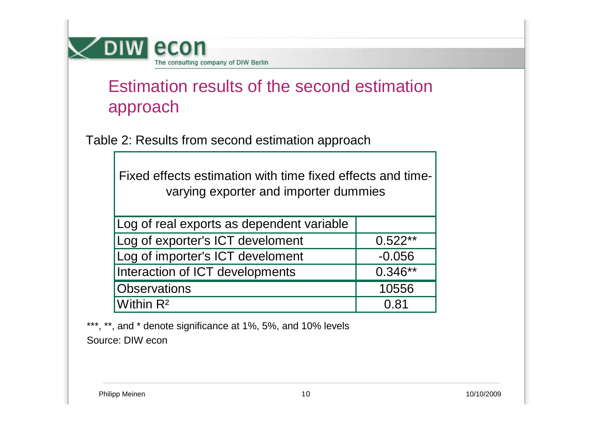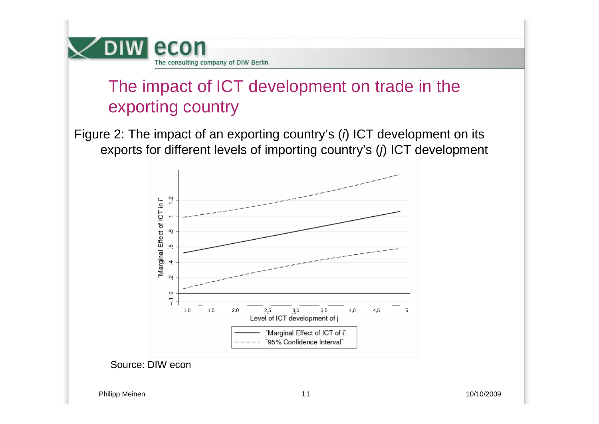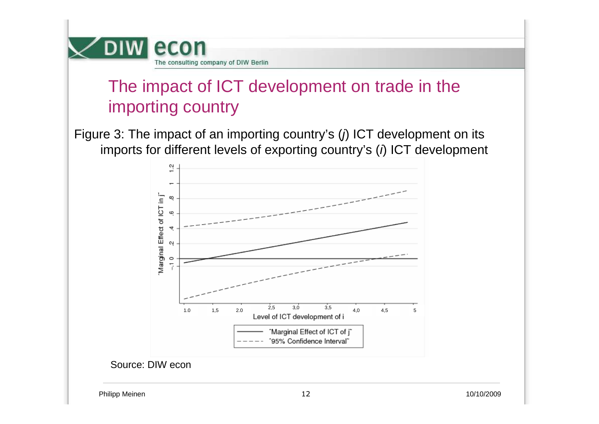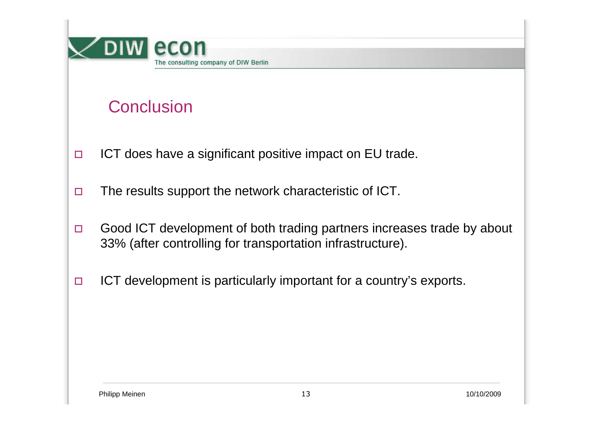